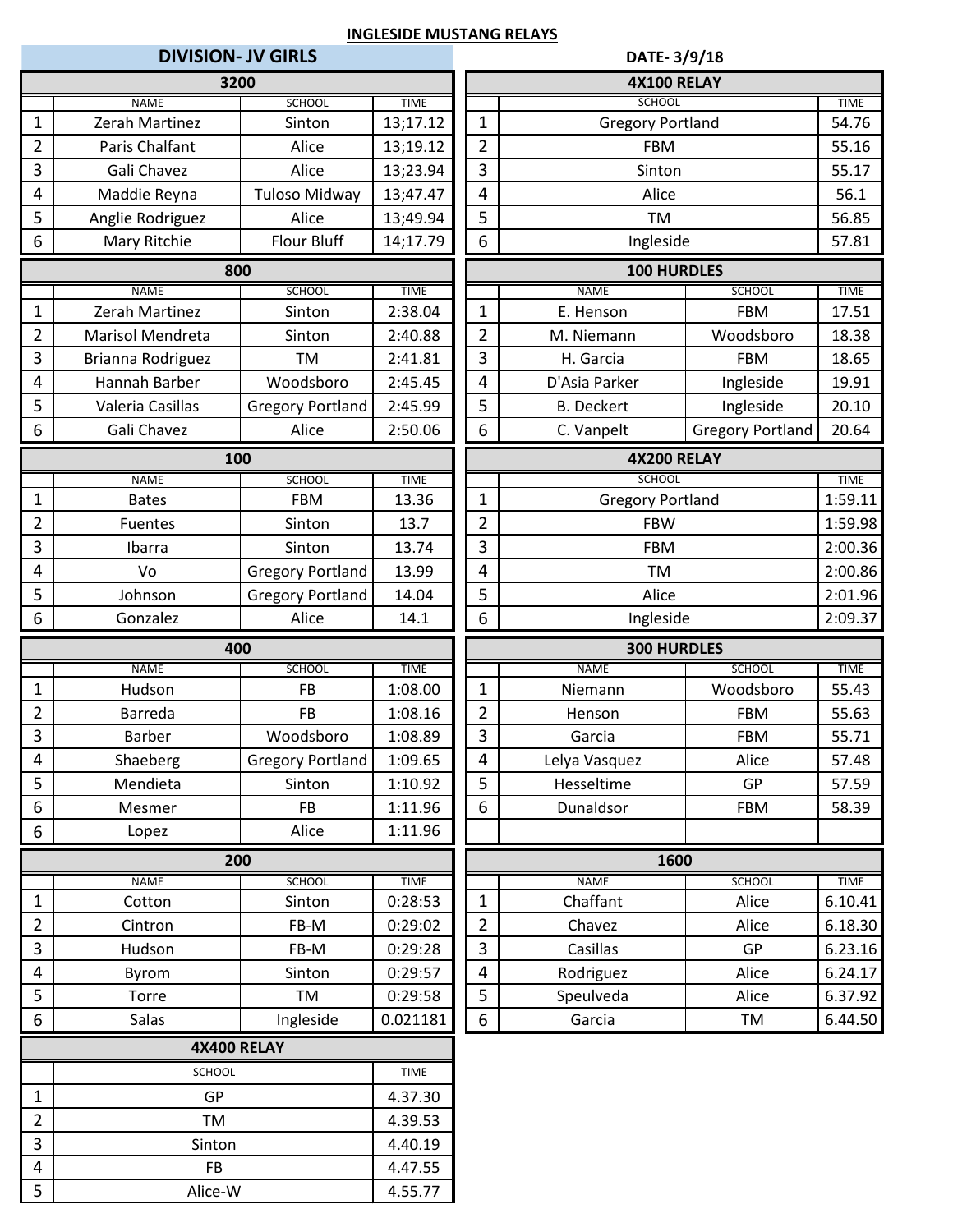|                |                   | <b>DIVISION- JV GIRLS</b> |             | DATE-3/9/18                   |                         |                         |                                                                                                  |  |  |  |
|----------------|-------------------|---------------------------|-------------|-------------------------------|-------------------------|-------------------------|--------------------------------------------------------------------------------------------------|--|--|--|
|                |                   | 3200                      |             |                               | <b>4X100 RELAY</b>      |                         |                                                                                                  |  |  |  |
|                | <b>NAME</b>       | <b>SCHOOL</b>             | <b>TIME</b> |                               | <b>SCHOOL</b>           |                         | <b>TIME</b>                                                                                      |  |  |  |
| $\mathbf 1$    | Zerah Martinez    | Sinton                    | 13;17.12    | $\mathbf{1}$                  | <b>Gregory Portland</b> |                         | 54.76                                                                                            |  |  |  |
| $\overline{2}$ | Paris Chalfant    | Alice                     | 13;19.12    | $\overline{2}$                | <b>FBM</b>              |                         | 55.16                                                                                            |  |  |  |
| 3              | Gali Chavez       | Alice                     | 13;23.94    | $\overline{3}$                | Sinton                  |                         | 55.17                                                                                            |  |  |  |
| 4              | Maddie Reyna      | <b>Tuloso Midway</b>      | 13;47.47    | $\overline{4}$                | Alice                   |                         | 56.1                                                                                             |  |  |  |
| 5              | Anglie Rodriguez  | Alice                     | 13;49.94    | 5                             | TM                      |                         | 56.85                                                                                            |  |  |  |
| 6              | Mary Ritchie      | Flour Bluff               | 14;17.79    | 6                             | Ingleside               |                         | 57.81                                                                                            |  |  |  |
|                |                   | 800                       |             |                               | 100 HURDLES             |                         |                                                                                                  |  |  |  |
|                | <b>NAME</b>       | <b>SCHOOL</b>             | <b>TIME</b> |                               | <b>NAME</b>             | <b>SCHOOL</b>           | <b>TIME</b>                                                                                      |  |  |  |
| $\mathbf{1}$   | Zerah Martinez    | Sinton                    | 2:38.04     | $\mathbf 1$                   | E. Henson               | <b>FBM</b>              | 17.51                                                                                            |  |  |  |
| $\overline{2}$ | Marisol Mendreta  | Sinton                    | 2:40.88     | $\overline{2}$                | M. Niemann              | Woodsboro               | 18.38                                                                                            |  |  |  |
| 3              | Brianna Rodriguez | <b>TM</b>                 | 2:41.81     | $\overline{3}$                | H. Garcia               | <b>FBM</b>              | 18.65                                                                                            |  |  |  |
| 4              | Hannah Barber     | Woodsboro                 | 2:45.45     | $\overline{4}$                | D'Asia Parker           | Ingleside               | 19.91                                                                                            |  |  |  |
| 5              | Valeria Casillas  | <b>Gregory Portland</b>   | 2:45.99     | 5                             | <b>B.</b> Deckert       | Ingleside               | 20.10                                                                                            |  |  |  |
| 6              | Gali Chavez       | Alice                     | 2:50.06     | 6                             | C. Vanpelt              | <b>Gregory Portland</b> | 20.64                                                                                            |  |  |  |
|                |                   | 100                       |             |                               | <b>4X200 RELAY</b>      |                         |                                                                                                  |  |  |  |
|                | <b>NAME</b>       | <b>SCHOOL</b>             | <b>TIME</b> |                               | <b>SCHOOL</b>           |                         | <b>TIME</b>                                                                                      |  |  |  |
| $\mathbf{1}$   | <b>Bates</b>      | <b>FBM</b>                | 13.36       | $\mathbf 1$                   | <b>Gregory Portland</b> |                         | 1:59.11                                                                                          |  |  |  |
| $\overline{2}$ | <b>Fuentes</b>    | Sinton                    | 13.7        | $\overline{2}$                | <b>FBW</b>              |                         | 1:59.98                                                                                          |  |  |  |
| 3              | Ibarra            | Sinton                    | 13.74       | 3                             | <b>FBM</b>              |                         | 2:00.36                                                                                          |  |  |  |
| 4              | Vo                | <b>Gregory Portland</b>   | 13.99       | $\overline{4}$                | <b>TM</b>               |                         | 2:00.86                                                                                          |  |  |  |
| 5              | Johnson           | <b>Gregory Portland</b>   | 14.04       |                               | 5<br>Alice              |                         | 2:01.96                                                                                          |  |  |  |
| 6              | Gonzalez          | Alice                     | 14.1        | $\boldsymbol{6}$<br>Ingleside |                         | 2:09.37                 |                                                                                                  |  |  |  |
| 400            |                   |                           |             |                               |                         |                         |                                                                                                  |  |  |  |
|                |                   |                           |             |                               | <b>300 HURDLES</b>      |                         |                                                                                                  |  |  |  |
|                | <b>NAME</b>       | <b>SCHOOL</b>             | <b>TIME</b> |                               | <b>NAME</b>             | <b>SCHOOL</b>           | <b>TIME</b>                                                                                      |  |  |  |
| $\mathbf{1}$   | Hudson            | <b>FB</b>                 | 1:08.00     | $\mathbf 1$                   | Niemann                 | Woodsboro               |                                                                                                  |  |  |  |
| $\overline{2}$ | <b>Barreda</b>    | <b>FB</b>                 | 1:08.16     | $\overline{2}$                | Henson                  | <b>FBM</b>              |                                                                                                  |  |  |  |
| 3              | <b>Barber</b>     | Woodsboro                 | 1:08.89     | $\overline{3}$                | Garcia                  | <b>FBM</b>              | 55.71                                                                                            |  |  |  |
| 4              | Shaeberg          | <b>Gregory Portland</b>   | 1:09.65     | 4                             | Lelya Vasquez           | Alice                   |                                                                                                  |  |  |  |
| 5              | Mendieta          | Sinton                    | 1:10.92     | 5                             | Hesseltime              | GP                      |                                                                                                  |  |  |  |
| 6              | Mesmer            | <b>FB</b>                 | 1:11.96     | $\boldsymbol{6}$              | Dunaldsor               | <b>FBM</b>              |                                                                                                  |  |  |  |
| 6              | Lopez             | Alice                     | 1:11.96     |                               |                         |                         |                                                                                                  |  |  |  |
|                |                   | 200                       |             |                               | 1600                    |                         |                                                                                                  |  |  |  |
|                | <b>NAME</b>       | <b>SCHOOL</b>             | <b>TIME</b> |                               | <b>NAME</b>             | <b>SCHOOL</b>           | <b>TIME</b>                                                                                      |  |  |  |
| $\mathbf{1}$   | Cotton            | Sinton                    | 0:28:53     | 1                             | Chaffant                | Alice                   |                                                                                                  |  |  |  |
| $\overline{2}$ | Cintron           | FB-M                      | 0:29:02     | $\overline{2}$                | Chavez                  | Alice                   |                                                                                                  |  |  |  |
| $\overline{3}$ | Hudson            | FB-M                      | 0:29:28     | 3                             | Casillas                | <b>GP</b>               |                                                                                                  |  |  |  |
| 4              | Byrom             | Sinton                    | 0:29:57     | $\overline{4}$                | Rodriguez               | Alice                   |                                                                                                  |  |  |  |
| 5              | Torre             | TM                        | 0:29:58     | 5                             | Speulveda               | Alice                   | 55.43<br>55.63<br>57.48<br>57.59<br>58.39<br>6.10.41<br>6.18.30<br>6.23.16<br>6.24.17<br>6.37.92 |  |  |  |
| 6              | Salas             | Ingleside                 | 0.021181    | 6                             | Garcia                  | TM                      | 6.44.50                                                                                          |  |  |  |
|                |                   | <b>4X400 RELAY</b>        |             |                               |                         |                         |                                                                                                  |  |  |  |
|                | SCHOOL            |                           | <b>TIME</b> |                               |                         |                         |                                                                                                  |  |  |  |
| $\mathbf{1}$   | GP                |                           | 4.37.30     |                               |                         |                         |                                                                                                  |  |  |  |
| $\overline{2}$ | <b>TM</b>         |                           | 4.39.53     |                               |                         |                         |                                                                                                  |  |  |  |
| $\overline{3}$ | Sinton            |                           | 4.40.19     |                               |                         |                         |                                                                                                  |  |  |  |
| $\overline{4}$ | <b>FB</b>         |                           | 4.47.55     |                               |                         |                         |                                                                                                  |  |  |  |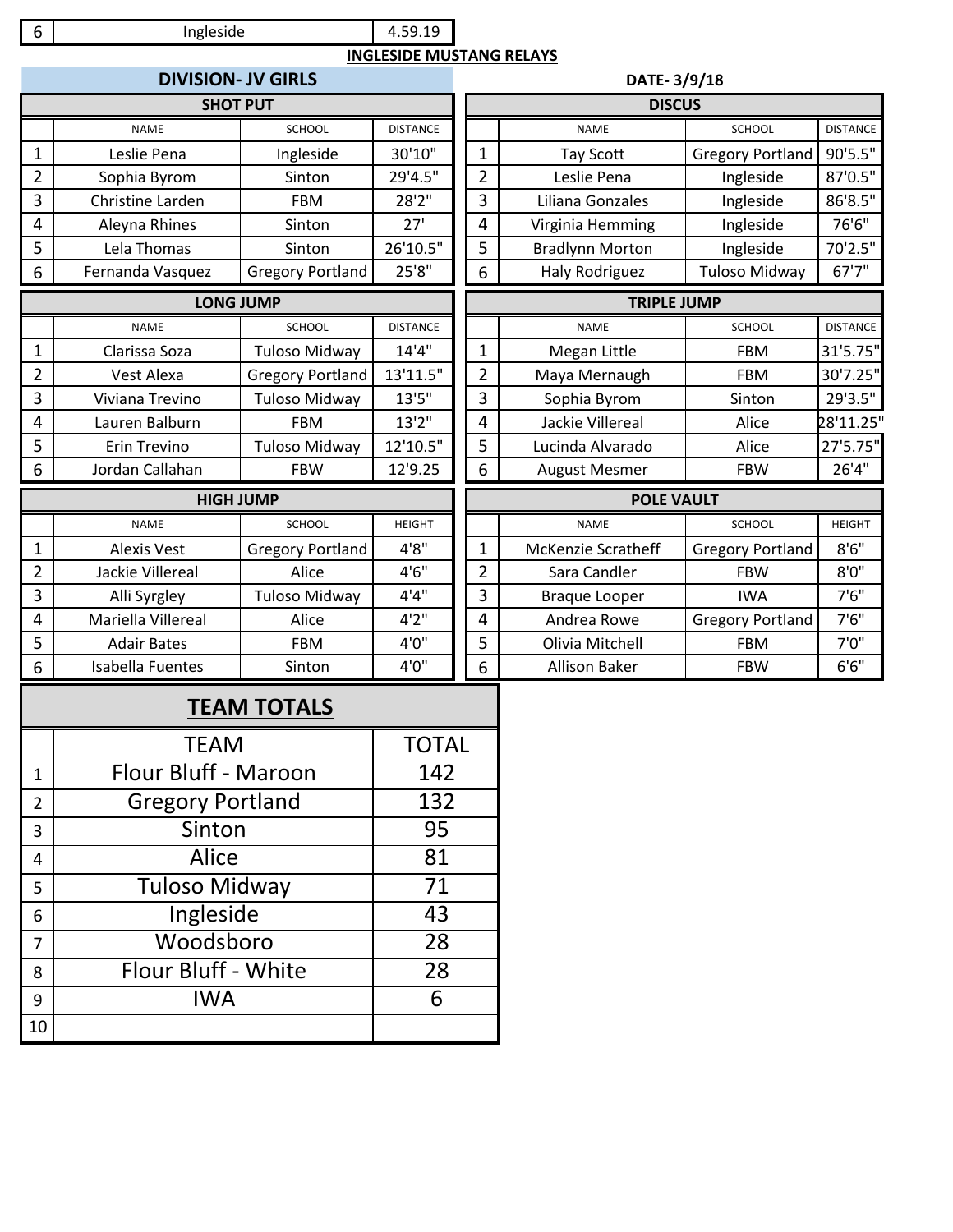#### 4.59.19 Ingleside **INGLESIDE MUSTANG RELAYS**

|                | <b>DIVISION- JV GIRLS</b> |                         | DATE-3/9/18     |  |                |                           |                         |                 |  |  |
|----------------|---------------------------|-------------------------|-----------------|--|----------------|---------------------------|-------------------------|-----------------|--|--|
|                | <b>SHOT PUT</b>           |                         |                 |  | <b>DISCUS</b>  |                           |                         |                 |  |  |
|                | <b>NAME</b>               | <b>SCHOOL</b>           | <b>DISTANCE</b> |  |                | <b>NAME</b>               | SCHOOL                  | <b>DISTANCE</b> |  |  |
| 1              | Leslie Pena               | Ingleside               | 30'10"          |  | $\mathbf{1}$   | <b>Tay Scott</b>          | <b>Gregory Portland</b> | 90'5.5"         |  |  |
| 2              | Sophia Byrom              | Sinton                  | 29'4.5"         |  | $\overline{2}$ | Leslie Pena               | Ingleside               | 87'0.5"         |  |  |
| 3              | Christine Larden          | <b>FBM</b>              | 28'2"           |  | 3              | Liliana Gonzales          | Ingleside               | 86'8.5"         |  |  |
| 4              | Aleyna Rhines             | Sinton                  | 27'             |  | 4              | Virginia Hemming          | Ingleside               | 76'6"           |  |  |
| 5              | Lela Thomas               | Sinton                  | 26'10.5"        |  | 5              | <b>Bradlynn Morton</b>    | Ingleside               | 70'2.5"         |  |  |
| 6              | Fernanda Vasquez          | <b>Gregory Portland</b> | 25'8''          |  | 6              | <b>Haly Rodriguez</b>     | <b>Tuloso Midway</b>    | 67'7"           |  |  |
|                | <b>LONG JUMP</b>          |                         |                 |  |                | <b>TRIPLE JUMP</b>        |                         |                 |  |  |
|                | <b>NAME</b>               | <b>SCHOOL</b>           | <b>DISTANCE</b> |  |                | <b>NAME</b>               | SCHOOL                  | <b>DISTANCE</b> |  |  |
| $\mathbf 1$    | Clarissa Soza             | Tuloso Midway           | 14'4''          |  | $\mathbf{1}$   | Megan Little              | <b>FBM</b>              | 31'5.75"        |  |  |
| $\overline{2}$ | Vest Alexa                | <b>Gregory Portland</b> | 13'11.5"        |  | 2              | Maya Mernaugh             | <b>FBM</b>              | 30'7.25"        |  |  |
| 3              | Viviana Trevino           | <b>Tuloso Midway</b>    | 13'5''          |  | 3              | Sophia Byrom              | Sinton                  | 29'3.5"         |  |  |
| 4              | Lauren Balburn            | <b>FBM</b>              | 13'2''          |  | $\overline{4}$ | Jackie Villereal          | Alice                   | 28'11.25"       |  |  |
| 5              | Erin Trevino              | <b>Tuloso Midway</b>    | 12'10.5"        |  | 5              | Lucinda Alvarado          | Alice                   | 27'5.75"        |  |  |
| 6              | Jordan Callahan           | <b>FBW</b>              | 12'9.25         |  | 6              | <b>August Mesmer</b>      | <b>FBW</b>              | 26'4"           |  |  |
|                | <b>HIGH JUMP</b>          |                         |                 |  |                | <b>POLE VAULT</b>         |                         |                 |  |  |
|                | <b>NAME</b>               | <b>SCHOOL</b>           | <b>HEIGHT</b>   |  |                | <b>NAME</b>               | <b>SCHOOL</b>           | <b>HEIGHT</b>   |  |  |
| $\mathbf 1$    | <b>Alexis Vest</b>        | <b>Gregory Portland</b> | 4'8''           |  | $\mathbf{1}$   | <b>McKenzie Scratheff</b> | <b>Gregory Portland</b> | 8'6''           |  |  |
| $\overline{2}$ | Jackie Villereal          | Alice                   | 4'6''           |  | $\overline{2}$ | Sara Candler              | <b>FBW</b>              | 8'0''           |  |  |
| 3              | Alli Syrgley              | <b>Tuloso Midway</b>    | 4'4''           |  | $\overline{3}$ | <b>Braque Looper</b>      | <b>IWA</b>              | 7'6''           |  |  |
| 4              | Mariella Villereal        | Alice                   | 4'2''           |  | $\overline{4}$ | Andrea Rowe               | <b>Gregory Portland</b> | 7'6''           |  |  |
| 5              | <b>Adair Bates</b>        | <b>FBM</b>              | 4'0''           |  | 5              | Olivia Mitchell           | <b>FBM</b>              | 7'0''           |  |  |
| 6              | <b>Isabella Fuentes</b>   | Sinton                  | 4'0''           |  | 6              | <b>Allison Baker</b>      | <b>FBW</b>              | 6'6''           |  |  |

# **TEAM TOTALS**

|                | <b>TEAM</b>             | <b>TOTAL</b> |
|----------------|-------------------------|--------------|
| 1              | Flour Bluff - Maroon    | 142          |
| $\overline{2}$ | <b>Gregory Portland</b> | 132          |
| 3              | Sinton                  | 95           |
| 4              | Alice                   | 81           |
| 5              | <b>Tuloso Midway</b>    | 71           |
| 6              | Ingleside               | 43           |
| 7              | Woodsboro               | 28           |
| 8              | Flour Bluff - White     | 28           |
| 9              | <b>IWA</b>              | 6            |
| 10             |                         |              |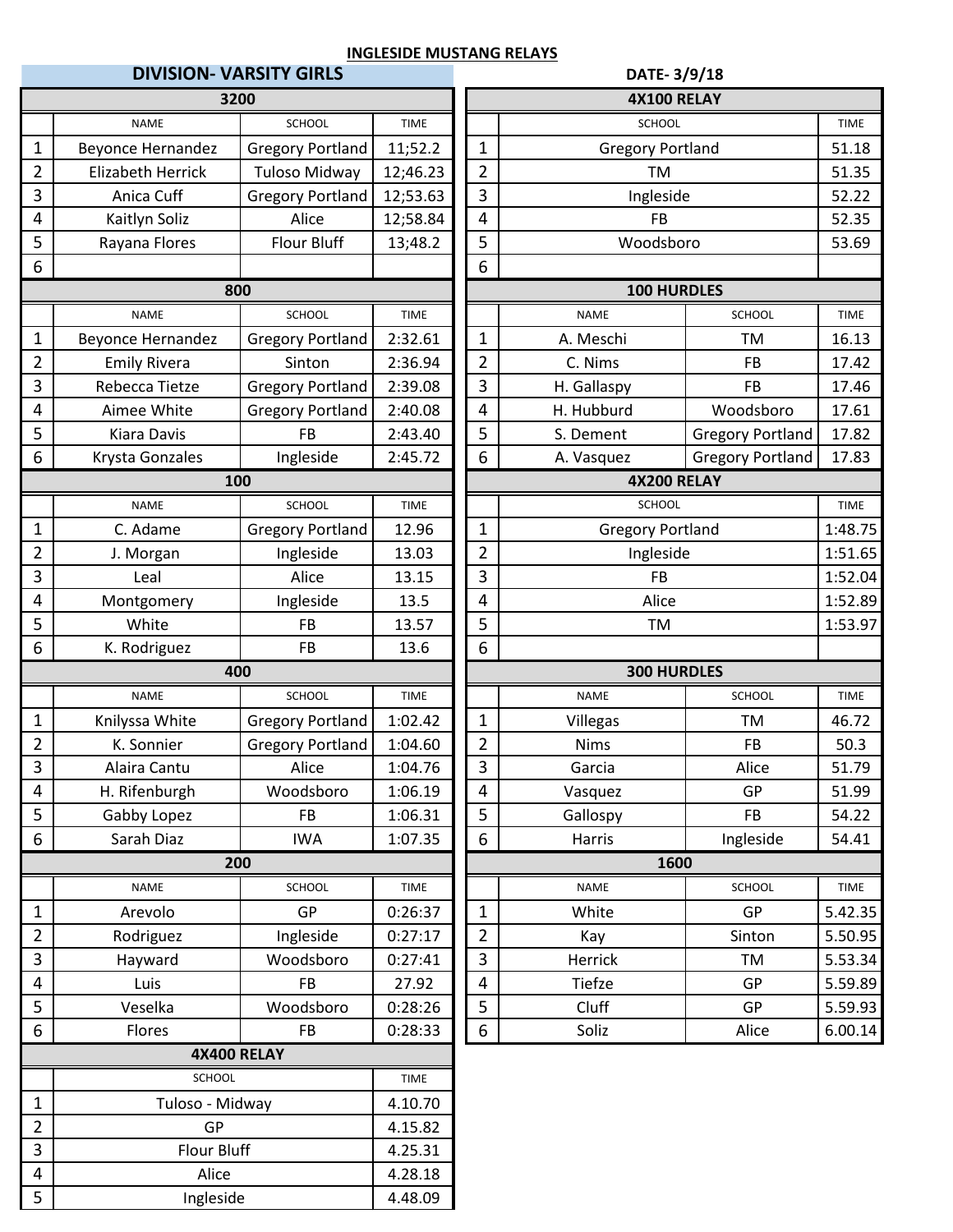|                         |                             | <b>DIVISION- VARSITY GIRLS</b> |             | DATE-3/9/18        |                         |                         |             |  |  |  |
|-------------------------|-----------------------------|--------------------------------|-------------|--------------------|-------------------------|-------------------------|-------------|--|--|--|
|                         |                             | 3200                           |             | <b>4X100 RELAY</b> |                         |                         |             |  |  |  |
|                         | <b>NAME</b>                 | <b>SCHOOL</b>                  | <b>TIME</b> |                    | <b>SCHOOL</b>           |                         | <b>TIME</b> |  |  |  |
| $\mathbf{1}$            | <b>Beyonce Hernandez</b>    | <b>Gregory Portland</b>        | 11;52.2     | 1                  | <b>Gregory Portland</b> |                         | 51.18       |  |  |  |
| $\overline{2}$          | <b>Elizabeth Herrick</b>    | <b>Tuloso Midway</b>           | 12;46.23    | $\overline{2}$     | <b>TM</b>               |                         | 51.35       |  |  |  |
| 3                       | Anica Cuff                  | Gregory Portland               | 12;53.63    | 3                  | Ingleside               |                         | 52.22       |  |  |  |
| 4                       | Kaitlyn Soliz               | Alice                          | 12;58.84    | 4                  | FB                      |                         | 52.35       |  |  |  |
| 5                       | Rayana Flores               | <b>Flour Bluff</b>             | 13;48.2     | 5                  | Woodsboro               |                         | 53.69       |  |  |  |
| 6                       |                             |                                |             | 6                  |                         |                         |             |  |  |  |
|                         |                             | 800                            |             |                    | <b>100 HURDLES</b>      |                         |             |  |  |  |
|                         | <b>NAME</b>                 | <b>SCHOOL</b>                  | <b>TIME</b> |                    | <b>NAME</b>             | <b>SCHOOL</b>           | <b>TIME</b> |  |  |  |
| $\mathbf{1}$            | <b>Beyonce Hernandez</b>    | <b>Gregory Portland</b>        | 2:32.61     | $\mathbf 1$        | A. Meschi               | TM                      | 16.13       |  |  |  |
| $\overline{2}$          | <b>Emily Rivera</b>         | Sinton                         | 2:36.94     | $\overline{2}$     | C. Nims                 | <b>FB</b>               | 17.42       |  |  |  |
| 3                       | Rebecca Tietze              | <b>Gregory Portland</b>        | 2:39.08     | 3                  | H. Gallaspy             | <b>FB</b>               | 17.46       |  |  |  |
| 4                       | Aimee White                 | <b>Gregory Portland</b>        | 2:40.08     | 4                  | H. Hubburd              | Woodsboro               | 17.61       |  |  |  |
| 5                       | Kiara Davis                 | <b>FB</b>                      | 2:43.40     | 5                  | S. Dement               | <b>Gregory Portland</b> | 17.82       |  |  |  |
| 6                       | Krysta Gonzales             | Ingleside                      | 2:45.72     | 6                  | A. Vasquez              | <b>Gregory Portland</b> | 17.83       |  |  |  |
|                         |                             | 100                            |             |                    | <b>4X200 RELAY</b>      |                         |             |  |  |  |
|                         | <b>NAME</b>                 | <b>SCHOOL</b>                  | <b>TIME</b> |                    | SCHOOL                  |                         | <b>TIME</b> |  |  |  |
| 1                       | C. Adame                    | <b>Gregory Portland</b>        | 12.96       | $\mathbf 1$        | <b>Gregory Portland</b> |                         | 1:48.75     |  |  |  |
| 2                       | J. Morgan                   | Ingleside                      | 13.03       | $\overline{2}$     | Ingleside               |                         | 1:51.65     |  |  |  |
| 3                       | Leal                        | Alice                          | 13.15       | 3                  | <b>FB</b>               |                         | 1:52.04     |  |  |  |
| 4                       | Montgomery                  | Ingleside                      | 13.5        | 4                  | Alice                   |                         | 1:52.89     |  |  |  |
| 5                       | White                       | <b>FB</b>                      | 13.57       | 5                  | <b>TM</b>               |                         | 1:53.97     |  |  |  |
| 6                       | K. Rodriguez                | <b>FB</b>                      | 13.6        | 6                  |                         |                         |             |  |  |  |
|                         |                             | 400                            |             | <b>300 HURDLES</b> |                         |                         |             |  |  |  |
|                         | <b>NAME</b>                 | <b>SCHOOL</b>                  | <b>TIME</b> |                    | <b>NAME</b>             | <b>SCHOOL</b>           | <b>TIME</b> |  |  |  |
| $\mathbf{1}$            | Knilyssa White              | <b>Gregory Portland</b>        | 1:02.42     | $\mathbf{1}$       | Villegas                | TM                      | 46.72       |  |  |  |
| $\overline{2}$          | K. Sonnier                  | <b>Gregory Portland</b>        | 1:04.60     | $\overline{2}$     | <b>Nims</b>             | <b>FB</b>               | 50.3        |  |  |  |
| 3                       | Alaira Cantu                | Alice                          | 1:04.76     | 3                  | Garcia                  | Alice                   | 51.79       |  |  |  |
| 4                       | H. Rifenburgh               | Woodsboro                      | 1:06.19     | 4                  | Vasquez                 | GP                      | 51.99       |  |  |  |
| 5                       | Gabby Lopez                 | <b>FB</b>                      | 1:06.31     | 5                  | Gallospy                | <b>FB</b>               | 54.22       |  |  |  |
| 6                       | Sarah Diaz                  | <b>IWA</b>                     | 1:07.35     | $\boldsymbol{6}$   | Harris                  | Ingleside               | 54.41       |  |  |  |
|                         |                             | 200                            |             |                    | 1600                    |                         |             |  |  |  |
|                         | <b>NAME</b>                 | SCHOOL                         | TIME        |                    | <b>NAME</b>             | SCHOOL                  | TIME        |  |  |  |
| $\mathbf{1}$            | Arevolo                     | GP                             | 0:26:37     | 1                  | White                   | GP                      | 5.42.35     |  |  |  |
| $\overline{2}$          | Rodriguez                   | Ingleside                      | 0:27:17     | $\overline{2}$     | Kay                     | Sinton                  | 5.50.95     |  |  |  |
| 3                       | Hayward                     | Woodsboro                      | 0:27:41     | 3                  | Herrick                 | TM                      | 5.53.34     |  |  |  |
| 4                       | Luis                        | <b>FB</b>                      | 27.92       | $\overline{4}$     | Tiefze                  | GP                      | 5.59.89     |  |  |  |
| 5                       | Veselka                     | Woodsboro                      | 0:28:26     | 5                  | Cluff                   | GP                      | 5.59.93     |  |  |  |
| 6                       | Flores                      | <b>FB</b>                      | 0:28:33     | $\boldsymbol{6}$   | Soliz                   | Alice                   | 6.00.14     |  |  |  |
|                         |                             | <b>4X400 RELAY</b>             |             |                    |                         |                         |             |  |  |  |
|                         | SCHOOL                      |                                | TIME        |                    |                         |                         |             |  |  |  |
| $\mathbf{1}$            | Tuloso - Midway             |                                | 4.10.70     |                    |                         |                         |             |  |  |  |
| $\overline{2}$          | GP                          |                                | 4.15.82     |                    |                         |                         |             |  |  |  |
|                         | $\mathbf{3}$<br>Flour Bluff |                                | 4.25.31     |                    |                         |                         |             |  |  |  |
|                         |                             |                                |             |                    |                         |                         |             |  |  |  |
| $\overline{\mathbf{4}}$ | Alice                       |                                | 4.28.18     |                    |                         |                         |             |  |  |  |
| $\overline{5}$          | Ingleside                   |                                | 4.48.09     |                    |                         |                         |             |  |  |  |

| 3200               |                         |             | <b>4X100 RELAY</b>          |                         |                         |             |  |
|--------------------|-------------------------|-------------|-----------------------------|-------------------------|-------------------------|-------------|--|
| <b>NAME</b>        | <b>SCHOOL</b>           | <b>TIME</b> |                             | SCHOOL                  |                         | <b>TIME</b> |  |
| e Hernandez        | <b>Gregory Portland</b> | 11;52.2     | $\mathbf{1}$                | <b>Gregory Portland</b> |                         | 51.18       |  |
| eth Herrick        | <b>Tuloso Midway</b>    | 12;46.23    | $\overline{2}$<br><b>TM</b> |                         | 51.35                   |             |  |
| ica Cuff           | <b>Gregory Portland</b> | 12;53.63    | 3                           | Ingleside               |                         | 52.22       |  |
| lyn Soliz          | Alice                   | 12;58.84    | 4                           | <b>FB</b>               |                         | 52.35       |  |
| na Flores          | Flour Bluff             | 13;48.2     | 5                           | Woodsboro               |                         | 53.69       |  |
|                    |                         |             | 6                           |                         |                         |             |  |
| 800                |                         |             |                             | 100 HURDLES             |                         |             |  |
| <b>NAME</b>        | <b>SCHOOL</b>           | <b>TIME</b> |                             | <b>NAME</b>             | <b>SCHOOL</b>           | <b>TIME</b> |  |
| e Hernandez        | <b>Gregory Portland</b> | 2:32.61     | $\mathbf{1}$                | A. Meschi               | TM                      | 16.13       |  |
| ly Rivera          | Sinton                  | 2:36.94     | $\overline{2}$              | C. Nims                 | <b>FB</b>               | 17.42       |  |
| cca Tietze         | <b>Gregory Portland</b> | 2:39.08     | 3                           | H. Gallaspy             | <b>FB</b>               | 17.46       |  |
| ee White           | <b>Gregory Portland</b> | 2:40.08     | 4                           | H. Hubburd              | Woodsboro               | 17.61       |  |
| ra Davis           | <b>FB</b>               | 2:43.40     | 5                           | S. Dement               | <b>Gregory Portland</b> | 17.82       |  |
| a Gonzales         | Ingleside               | 2:45.72     | 6                           | A. Vasquez              | <b>Gregory Portland</b> | 17.83       |  |
| 100                |                         |             |                             | <b>4X200 RELAY</b>      |                         |             |  |
| <b>NAME</b>        | <b>SCHOOL</b>           | <b>TIME</b> |                             | SCHOOL                  |                         | <b>TIME</b> |  |
| Adame              | <b>Gregory Portland</b> | 12.96       | $\mathbf{1}$                | <b>Gregory Portland</b> | 1:48.75                 |             |  |
| Aorgan             | Ingleside               | 13.03       | $\overline{2}$              | Ingleside               | 1:51.65                 |             |  |
| Leal               | Alice                   | 13.15       | 3                           | FB                      | 1:52.04                 |             |  |
| itgomery           | Ingleside               | 13.5        | 4                           | Alice                   |                         | 1:52.89     |  |
| <b>Nhite</b>       | <b>FB</b>               | 13.57       | 5                           | <b>TM</b>               |                         | 1:53.97     |  |
| odriguez           | <b>FB</b>               | 13.6        | 6                           |                         |                         |             |  |
| 400                |                         |             |                             | <b>300 HURDLES</b>      |                         |             |  |
| NAME               | <b>SCHOOL</b>           | <b>TIME</b> |                             | <b>NAME</b>             | <b>SCHOOL</b>           | <b>TIME</b> |  |
| ssa White          | <b>Gregory Portland</b> | 1:02.42     | $\mathbf{1}$                | Villegas                | TM                      | 46.72       |  |
| Sonnier            | <b>Gregory Portland</b> | 1:04.60     | $\overline{2}$              | Nims                    | <b>FB</b>               | 50.3        |  |
| ra Cantu           | Alice                   | 1:04.76     | 3                           | Garcia                  | Alice                   | 51.79       |  |
| fenburgh           | Woodsboro               | 1:06.19     | 4                           | Vasquez                 | GP                      | 51.99       |  |
| by Lopez           | FB                      | 1:06.31     | 5                           | Gallospy                | <b>FB</b>               | 54.22       |  |
| ah Diaz            | <b>IWA</b>              | 1:07.35     | 6                           | Harris                  | Ingleside               | 54.41       |  |
| 200                |                         |             |                             | 1600                    |                         |             |  |
| <b>NAME</b>        | SCHOOL                  | <b>TIME</b> |                             | <b>NAME</b>             | SCHOOL                  | <b>TIME</b> |  |
| revolo             | GP                      | 0:26:37     | $\mathbf{1}$                | White                   | GP                      | 5.42.35     |  |
| driguez            | Ingleside               | 0:27:17     | $\overline{2}$              | Kay                     | Sinton                  | 5.50.95     |  |
| <b>iyward</b>      | Woodsboro               | 0:27:41     | 3                           | Herrick                 | TM                      | 5.53.34     |  |
| Luis               | <b>FB</b>               | 27.92       | 4                           | Tiefze                  | GP                      | 5.59.89     |  |
| eselka             | Woodsboro               | 0:28:26     | 5                           | Cluff                   | GP                      | 5.59.93     |  |
| lores              | <b>FB</b>               | 0:28:33     | 6                           | Soliz                   | Alice                   | 6.00.14     |  |
| <b>AVAOO RELAV</b> |                         |             |                             |                         |                         |             |  |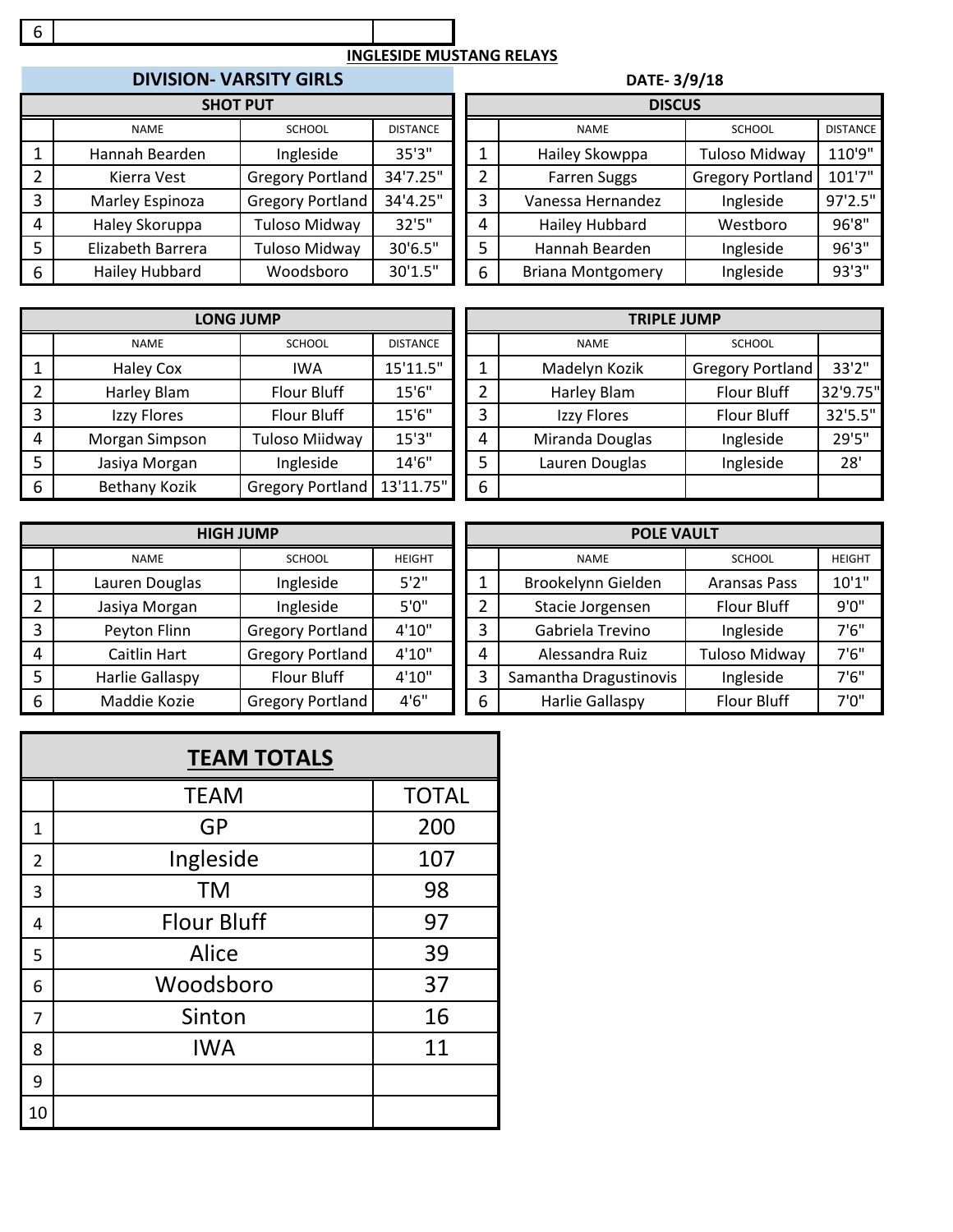### 

#### **INGLESIDE MUSTANG RELAYS**

# **DIVISION- VARSITY GIRLS DATE-3/9**

|   | <b>SHOT PUT</b>   |                         |                 |   | <b>DISCUS</b>            |                         |                 |
|---|-------------------|-------------------------|-----------------|---|--------------------------|-------------------------|-----------------|
|   | <b>NAME</b>       | <b>SCHOOL</b>           | <b>DISTANCE</b> |   | <b>NAME</b>              | <b>SCHOOL</b>           | <b>DISTANCE</b> |
|   | Hannah Bearden    | Ingleside               | 35'3"           |   | Hailey Skowppa           | <b>Tuloso Midway</b>    | 110'9"          |
|   | Kierra Vest       | <b>Gregory Portland</b> | 34'7.25"        | 2 | <b>Farren Suggs</b>      | <b>Gregory Portland</b> | 101'7"          |
| 3 | Marley Espinoza   | <b>Gregory Portland</b> | 34'4.25"        | 3 | Vanessa Hernandez        | Ingleside               | 97'2.5"         |
| 4 | Haley Skoruppa    | Tuloso Midway           | 32'5"           | 4 | <b>Hailey Hubbard</b>    | Westboro                | 96'8"           |
|   | Elizabeth Barrera | Tuloso Midway           | 30'6.5"         | 5 | Hannah Bearden           | Ingleside               | 96'3''          |
| 6 | Hailey Hubbard    | Woodsboro               | 30'1.5"         | 6 | <b>Briana Montgomery</b> | Ingleside               | 93'3"           |
|   |                   |                         |                 |   |                          |                         |                 |

| DIVISION- VARSITY GIRLS |                         |                 | DATE-3/9/18 |                          |                         |                 |  |  |  |
|-------------------------|-------------------------|-----------------|-------------|--------------------------|-------------------------|-----------------|--|--|--|
| <b>SHOT PUT</b>         |                         |                 |             | <b>DISCUS</b>            |                         |                 |  |  |  |
| NAME                    | <b>SCHOOL</b>           | <b>DISTANCE</b> |             | <b>NAME</b>              | <b>SCHOOL</b>           | <b>DISTANCE</b> |  |  |  |
| ıh Bearden              | Ingleside               | 35'3"           |             | Hailey Skowppa           | <b>Tuloso Midway</b>    | 110'9"          |  |  |  |
| rra Vest                | <b>Gregory Portland</b> | 34'7.25"        |             | <b>Farren Suggs</b>      | <b>Gregory Portland</b> | 101'7"          |  |  |  |
| y Espinoza              | <b>Gregory Portland</b> | 34'4.25"        | 3           | Vanessa Hernandez        | Ingleside               | 97'2.5"         |  |  |  |
| Skoruppa                | Tuloso Midway           | 32'5''          | 4           | Hailey Hubbard           | Westboro                | 96'8"           |  |  |  |
| eth Barrera             | Tuloso Midway           | 30'6.5"         | 5           | Hannah Bearden           | Ingleside               | 96'3"           |  |  |  |
| r Hubbard               | Woodsboro               | 30'1.5"         | 6           | <b>Briana Montgomery</b> | Ingleside               | 93'3"           |  |  |  |

|                         |                      | LONG JUMP               |                 | <b>TRIPLE JUMP</b> |                 |                         |          |  |
|-------------------------|----------------------|-------------------------|-----------------|--------------------|-----------------|-------------------------|----------|--|
|                         | <b>NAME</b>          | <b>SCHOOL</b>           | <b>DISTANCE</b> |                    | <b>NAME</b>     | <b>SCHOOL</b>           |          |  |
|                         | <b>Haley Cox</b>     | <b>IWA</b>              | 15'11.5"        | ◢                  | Madelyn Kozik   | <b>Gregory Portland</b> | 33'2"    |  |
| 2                       | Harley Blam          | Flour Bluff             | 15'6"           | っ                  | Harley Blam     | <b>Flour Bluff</b>      | 32'9.75" |  |
| $\overline{\mathbf{3}}$ | Izzy Flores          | Flour Bluff             | 15'6"           | 3                  | Izzy Flores     | <b>Flour Bluff</b>      | 32'5.5"  |  |
| 4                       | Morgan Simpson       | Tuloso Miidway          | 15'3''          | 4                  | Miranda Douglas | Ingleside               | 29'5"    |  |
| -5                      | Jasiya Morgan        | Ingleside               | 14'6"           | 5                  | Lauren Douglas  | Ingleside               | 28'      |  |
| 6                       | <b>Bethany Kozik</b> | <b>Gregory Portland</b> | 13'11.75"       | 6                  |                 |                         |          |  |

| <b>TRIPLE JUMP</b> |                 |                         |          |  |  |  |  |  |
|--------------------|-----------------|-------------------------|----------|--|--|--|--|--|
|                    | <b>NAME</b>     | <b>SCHOOL</b>           |          |  |  |  |  |  |
|                    | Madelyn Kozik   | <b>Gregory Portland</b> | 33'2"    |  |  |  |  |  |
| 2                  | Harley Blam     | <b>Flour Bluff</b>      | 32'9.75" |  |  |  |  |  |
| 3                  | Izzy Flores     | Flour Bluff             | 32'5.5"  |  |  |  |  |  |
| 4                  | Miranda Douglas | Ingleside               | 29'5"    |  |  |  |  |  |
| 5                  | Lauren Douglas  | Ingleside               | 28'      |  |  |  |  |  |
| հ                  |                 |                         |          |  |  |  |  |  |

|   | <b>HIGH JUMP</b> |                  | <b>POLE VAULT</b> |   |                        |                      |               |
|---|------------------|------------------|-------------------|---|------------------------|----------------------|---------------|
|   | <b>NAME</b>      | <b>SCHOOL</b>    | <b>HEIGHT</b>     |   | <b>NAME</b>            | <b>SCHOOL</b>        | <b>HEIGHT</b> |
|   | Lauren Douglas   | Ingleside        | 5'2''             |   | Brookelynn Gielden     | <b>Aransas Pass</b>  | 10'1"         |
|   | Jasiya Morgan    | Ingleside        | 5'0''             |   | Stacie Jorgensen       | Flour Bluff          | 9'0''         |
| 3 | Peyton Flinn     | Gregory Portland | 4'10"             |   | Gabriela Trevino       | Ingleside            | 7'6''         |
| 4 | Caitlin Hart     | Gregory Portland | 4'10"             | 4 | Alessandra Ruiz        | <b>Tuloso Midway</b> | 7'6''         |
|   | Harlie Gallaspy  | Flour Bluff      | 4'10"             | 3 | Samantha Dragustinovis | Ingleside            | 7'6''         |
| 6 | Maddie Kozie     | Gregory Portland | 4'6''             | 6 | <b>Harlie Gallaspy</b> | Flour Bluff          | 7'0''         |

|    | <b>TEAM TOTALS</b> |              |  |  |  |  |  |  |
|----|--------------------|--------------|--|--|--|--|--|--|
|    | <b>TEAM</b>        | <b>TOTAL</b> |  |  |  |  |  |  |
| 1  | GP                 | 200          |  |  |  |  |  |  |
| 2  | Ingleside          | 107          |  |  |  |  |  |  |
| 3  | <b>TM</b>          | 98           |  |  |  |  |  |  |
| 4  | <b>Flour Bluff</b> | 97           |  |  |  |  |  |  |
| 5  | Alice              | 39           |  |  |  |  |  |  |
| 6  | Woodsboro          | 37           |  |  |  |  |  |  |
| 7  | Sinton             | 16           |  |  |  |  |  |  |
| 8  | <b>IWA</b>         | 11           |  |  |  |  |  |  |
| 9  |                    |              |  |  |  |  |  |  |
| 10 |                    |              |  |  |  |  |  |  |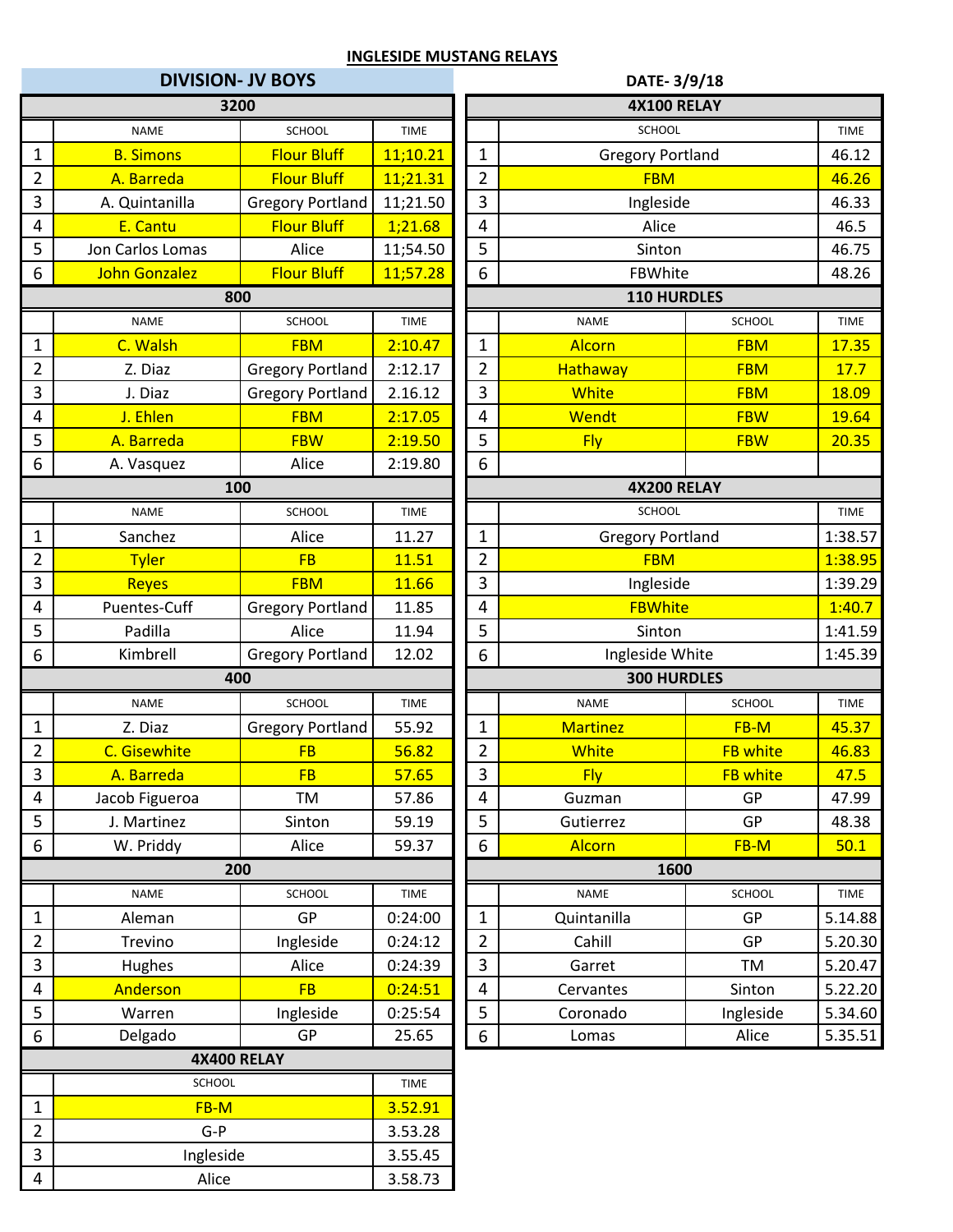| <b>DIVISION- JV BOYS</b>         |                      |                         |              |                         | DATE-3/9/18             |                 |             |  |  |
|----------------------------------|----------------------|-------------------------|--------------|-------------------------|-------------------------|-----------------|-------------|--|--|
|                                  |                      | 3200                    |              |                         | <b>4X100 RELAY</b>      |                 |             |  |  |
|                                  | <b>NAME</b>          | <b>SCHOOL</b>           | <b>TIME</b>  |                         | SCHOOL                  |                 | <b>TIME</b> |  |  |
| 1                                | <b>B. Simons</b>     | <b>Flour Bluff</b>      | 11;10.21     | 1                       | <b>Gregory Portland</b> |                 | 46.12       |  |  |
| $\overline{2}$                   | A. Barreda           | <b>Flour Bluff</b>      | 11;21.31     | $\overline{2}$          | <b>FBM</b>              |                 | 46.26       |  |  |
| 3                                | A. Quintanilla       | <b>Gregory Portland</b> | 11;21.50     | 3                       | Ingleside               |                 | 46.33       |  |  |
| 4                                | E. Cantu             | <b>Flour Bluff</b>      | 1;21.68      | $\overline{\mathbf{4}}$ | Alice                   |                 | 46.5        |  |  |
| 5                                | Jon Carlos Lomas     | Alice                   | 11;54.50     | 5                       | Sinton                  |                 | 46.75       |  |  |
| 6                                | <b>John Gonzalez</b> | <b>Flour Bluff</b>      | 11;57.28     | 6                       | FBWhite                 |                 | 48.26       |  |  |
|                                  |                      | 800                     |              |                         | 110 HURDLES             |                 |             |  |  |
|                                  | <b>NAME</b>          | <b>SCHOOL</b>           | <b>TIME</b>  |                         | <b>NAME</b>             | <b>SCHOOL</b>   | <b>TIME</b> |  |  |
| $\mathbf 1$                      | C. Walsh             | <b>FBM</b>              | 2:10.47      | $\mathbf 1$             | <b>Alcorn</b>           | <b>FBM</b>      | 17.35       |  |  |
| $\overline{2}$                   | Z. Diaz              | <b>Gregory Portland</b> | 2:12.17      | $\overline{2}$          | Hathaway                | <b>FBM</b>      | 17.7        |  |  |
| 3                                | J. Diaz              | <b>Gregory Portland</b> | 2.16.12      | 3                       | White                   | <b>FBM</b>      | 18.09       |  |  |
| 4                                | J. Ehlen             | <b>FBM</b>              | 2:17.05      | $\overline{\mathbf{4}}$ | Wendt                   | <b>FBW</b>      | 19.64       |  |  |
| 5                                | A. Barreda           | <b>FBW</b>              | 2:19.50      | 5                       | <b>Fly</b>              | <b>FBW</b>      | 20.35       |  |  |
| 6                                | A. Vasquez           | Alice                   | 2:19.80      | $\boldsymbol{6}$        |                         |                 |             |  |  |
|                                  |                      | 100                     |              |                         | <b>4X200 RELAY</b>      |                 |             |  |  |
|                                  | <b>NAME</b>          | <b>SCHOOL</b>           | <b>TIME</b>  |                         | SCHOOL                  |                 | <b>TIME</b> |  |  |
| 1                                | Sanchez              | Alice                   | 11.27        | $\mathbf{1}$            | <b>Gregory Portland</b> |                 | 1:38.57     |  |  |
| $\overline{2}$                   | <b>Tyler</b>         | <b>FB</b>               | 11.51        | $\overline{2}$          | <b>FBM</b>              |                 | 1:38.95     |  |  |
| 3                                | <b>Reyes</b>         | <b>FBM</b>              | 11.66        | 3                       | Ingleside               |                 | 1:39.29     |  |  |
| 4                                | Puentes-Cuff         | <b>Gregory Portland</b> | 11.85        | 4                       | <b>FBWhite</b>          |                 | 1:40.7      |  |  |
| 5                                | Padilla              | Alice                   | 11.94        | 5                       | Sinton                  |                 | 1:41.59     |  |  |
| 6                                | Kimbrell             | <b>Gregory Portland</b> | 12.02        | 6                       | Ingleside White         |                 | 1:45.39     |  |  |
|                                  |                      | 400                     |              |                         | <b>300 HURDLES</b>      |                 |             |  |  |
|                                  | <b>NAME</b>          | SCHOOL                  | <b>TIME</b>  |                         | <b>NAME</b>             | <b>SCHOOL</b>   | <b>TIME</b> |  |  |
| $\mathbf{1}$                     | Z. Diaz              | <b>Gregory Portland</b> | 55.92        | $\mathbf{1}$            | <b>Martinez</b>         | FB-M            | 45.37       |  |  |
| $\overline{2}$                   | C. Gisewhite         | <b>FB</b>               | 56.82        | $\overline{2}$          | <b>White</b>            | <b>FB white</b> | 46.83       |  |  |
| 3                                | A. Barreda           | FB                      | <u>57.65</u> | $\overline{3}$          | <b>Fly</b>              | <b>FB white</b> | <u>47.5</u> |  |  |
| 4                                | Jacob Figueroa       | <b>TM</b>               | 57.86        | $\overline{4}$          | Guzman                  | GP              | 47.99       |  |  |
| 5                                | J. Martinez          | Sinton                  | 59.19        | 5                       | Gutierrez               | GP              | 48.38       |  |  |
| 6                                | W. Priddy            | Alice                   | 59.37        | 6                       | Alcorn                  | FB-M            | 50.1        |  |  |
|                                  |                      | 200                     |              |                         | 1600                    |                 |             |  |  |
|                                  | <b>NAME</b>          | SCHOOL                  | TIME         |                         | <b>NAME</b>             | SCHOOL          | <b>TIME</b> |  |  |
| 1                                | Aleman               | GP                      | 0:24:00      | $\mathbf{1}$            | Quintanilla             | GP              | 5.14.88     |  |  |
| $\overline{2}$                   | Trevino              | Ingleside               | 0:24:12      | $\overline{2}$          | Cahill                  | GP              | 5.20.30     |  |  |
| 3                                | Hughes               | Alice                   | 0:24:39      | $\overline{3}$          | Garret                  | TM              | 5.20.47     |  |  |
| 4                                | Anderson             | <b>FB</b>               | 0:24:51      | 4                       | Cervantes               | Sinton          | 5.22.20     |  |  |
| 5                                | Warren               | Ingleside               | 0:25:54      | 5                       | Coronado                | Ingleside       | 5.34.60     |  |  |
| 6                                | Delgado              | GP                      | 25.65        | $\boldsymbol{6}$        | Lomas                   | Alice           | 5.35.51     |  |  |
|                                  |                      | 4X400 RELAY             |              |                         |                         |                 |             |  |  |
|                                  | SCHOOL               |                         | <b>TIME</b>  |                         |                         |                 |             |  |  |
| 1                                | FB-M                 |                         | 3.52.91      |                         |                         |                 |             |  |  |
| $\overline{2}$                   | $G-P$                |                         | 3.53.28      |                         |                         |                 |             |  |  |
| 3                                | Ingleside            |                         | 3.55.45      |                         |                         |                 |             |  |  |
| $\overline{\mathbf{4}}$<br>Alice |                      | 3.58.73                 |              |                         |                         |                 |             |  |  |

|                 |                         |             | DATE-3/9/18             |                         |                 |             |  |  |  |  |  |
|-----------------|-------------------------|-------------|-------------------------|-------------------------|-----------------|-------------|--|--|--|--|--|
| 3200            |                         |             |                         | <b>4X100 RELAY</b>      |                 |             |  |  |  |  |  |
| NAME            | <b>SCHOOL</b>           | <b>TIME</b> |                         | SCHOOL                  |                 | <b>TIME</b> |  |  |  |  |  |
| <b>Simons</b>   | <b>Flour Bluff</b>      | 11;10.21    | $\mathbf{1}$            | <b>Gregory Portland</b> |                 | 46.12       |  |  |  |  |  |
| Barreda         | <b>Flour Bluff</b>      | 11;21.31    | $\overline{2}$          | <b>FBM</b>              |                 | 46.26       |  |  |  |  |  |
| uintanilla      | <b>Gregory Portland</b> | 11;21.50    | 3                       | Ingleside               |                 | 46.33       |  |  |  |  |  |
| Cantu           | <b>Flour Bluff</b>      | 1,21.68     | 4                       | Alice                   |                 | 46.5        |  |  |  |  |  |
| rlos Lomas      | Alice                   | 11;54.50    | 5                       | Sinton                  |                 | 46.75       |  |  |  |  |  |
| Gonzalez        | <b>Flour Bluff</b>      | 11;57.28    | 6                       | FBWhite                 |                 | 48.26       |  |  |  |  |  |
| 800             |                         |             |                         | 110 HURDLES             |                 |             |  |  |  |  |  |
| <b>NAME</b>     | <b>SCHOOL</b>           | <b>TIME</b> |                         | <b>NAME</b>             | SCHOOL          | <b>TIME</b> |  |  |  |  |  |
| <b>Walsh</b>    | <b>FBM</b>              | 2:10.47     | $\mathbf{1}$            | <b>Alcorn</b>           | <b>FBM</b>      | 17.35       |  |  |  |  |  |
| . Diaz          | <b>Gregory Portland</b> | 2:12.17     | $\overline{2}$          | Hathaway                | <b>FBM</b>      | 17.7        |  |  |  |  |  |
| . Diaz          | <b>Gregory Portland</b> | 2.16.12     | 3                       | <b>White</b>            | <b>FBM</b>      | 18.09       |  |  |  |  |  |
| Ehlen           | <b>FBM</b>              | 2:17.05     | 4                       | Wendt                   | <b>FBW</b>      | 19.64       |  |  |  |  |  |
| Barreda         | <b>FBW</b>              | 2:19.50     | 5                       | <b>Fly</b>              | <b>FBW</b>      | 20.35       |  |  |  |  |  |
| /asquez         | Alice                   | 2:19.80     | $6\phantom{1}6$         |                         |                 |             |  |  |  |  |  |
| 100             |                         |             |                         | <b>4X200 RELAY</b>      |                 |             |  |  |  |  |  |
| <b>NAME</b>     | <b>SCHOOL</b>           | <b>TIME</b> |                         | <b>SCHOOL</b>           |                 | <b>TIME</b> |  |  |  |  |  |
| anchez          | Alice                   | 11.27       | $\mathbf{1}$            | <b>Gregory Portland</b> | 1:38.57         |             |  |  |  |  |  |
| <b>Tyler</b>    | <b>FB</b>               | 11.51       | $\overline{2}$          | <b>FBM</b>              | 1:38.95         |             |  |  |  |  |  |
| <b>Reyes</b>    | <b>FBM</b>              | 11.66       | 3                       | Ingleside               | 1:39.29         |             |  |  |  |  |  |
| าtes-Cuff       | <b>Gregory Portland</b> | 11.85       | $\overline{4}$          | <b>FBWhite</b>          | 1:40.7          |             |  |  |  |  |  |
| adilla          | Alice                   | 11.94       | 5                       | Sinton                  |                 | 1:41.59     |  |  |  |  |  |
| mbrell          | <b>Gregory Portland</b> | 12.02       | 6                       | Ingleside White         |                 | 1:45.39     |  |  |  |  |  |
| 400             |                         |             |                         | 300 HURDLES             |                 |             |  |  |  |  |  |
| NAME            | SCHOOL                  | <b>TIME</b> |                         | <b>NAME</b>             | <b>SCHOOL</b>   | <b>TIME</b> |  |  |  |  |  |
| . Diaz          | <b>Gregory Portland</b> | 55.92       | $\mathbf{1}$            | <b>Martinez</b>         | FB-M            | 45.37       |  |  |  |  |  |
| <b>isewhite</b> | <b>FB</b>               | 56.82       | $\overline{2}$          | White                   | <b>FB white</b> | 46.83       |  |  |  |  |  |
| Barreda         | <b>FB</b>               | 57.65       | $\overline{\mathbf{3}}$ | <b>Fly</b>              | <b>FB white</b> | 47.5        |  |  |  |  |  |
| Figueroa        | TM                      | 57.86       | 4                       | Guzman                  | GP              | 47.99       |  |  |  |  |  |
| <b>Martinez</b> | Sinton                  | 59.19       | 5                       | Gutierrez               | GP              | 48.38       |  |  |  |  |  |
| Priddy          | Alice                   | 59.37       | 6                       | <b>Alcorn</b>           | FB-M            | 50.1        |  |  |  |  |  |
| 200             |                         |             |                         | 1600                    |                 |             |  |  |  |  |  |
| <b>NAME</b>     | SCHOOL                  | <b>TIME</b> |                         | <b>NAME</b>             | SCHOOL          | <b>TIME</b> |  |  |  |  |  |
| leman           | GP                      | 0:24:00     | 1                       | Quintanilla             | GP              | 5.14.88     |  |  |  |  |  |
| revino          | Ingleside               | 0:24:12     | $\overline{2}$          | Cahill                  | GP              | 5.20.30     |  |  |  |  |  |
| ughes           | Alice                   | 0:24:39     | $\mathbf{3}$            | Garret                  | TM              | 5.20.47     |  |  |  |  |  |
| derson          | <b>FB</b>               | 0:24:51     | 4                       | Cervantes               | Sinton          | 5.22.20     |  |  |  |  |  |
| /arren          | Ingleside               | 0:25:54     | 5                       | Coronado                | Ingleside       |             |  |  |  |  |  |
| elgado          | GP                      | 25.65       | $\boldsymbol{6}$        | Lomas                   | Alice           |             |  |  |  |  |  |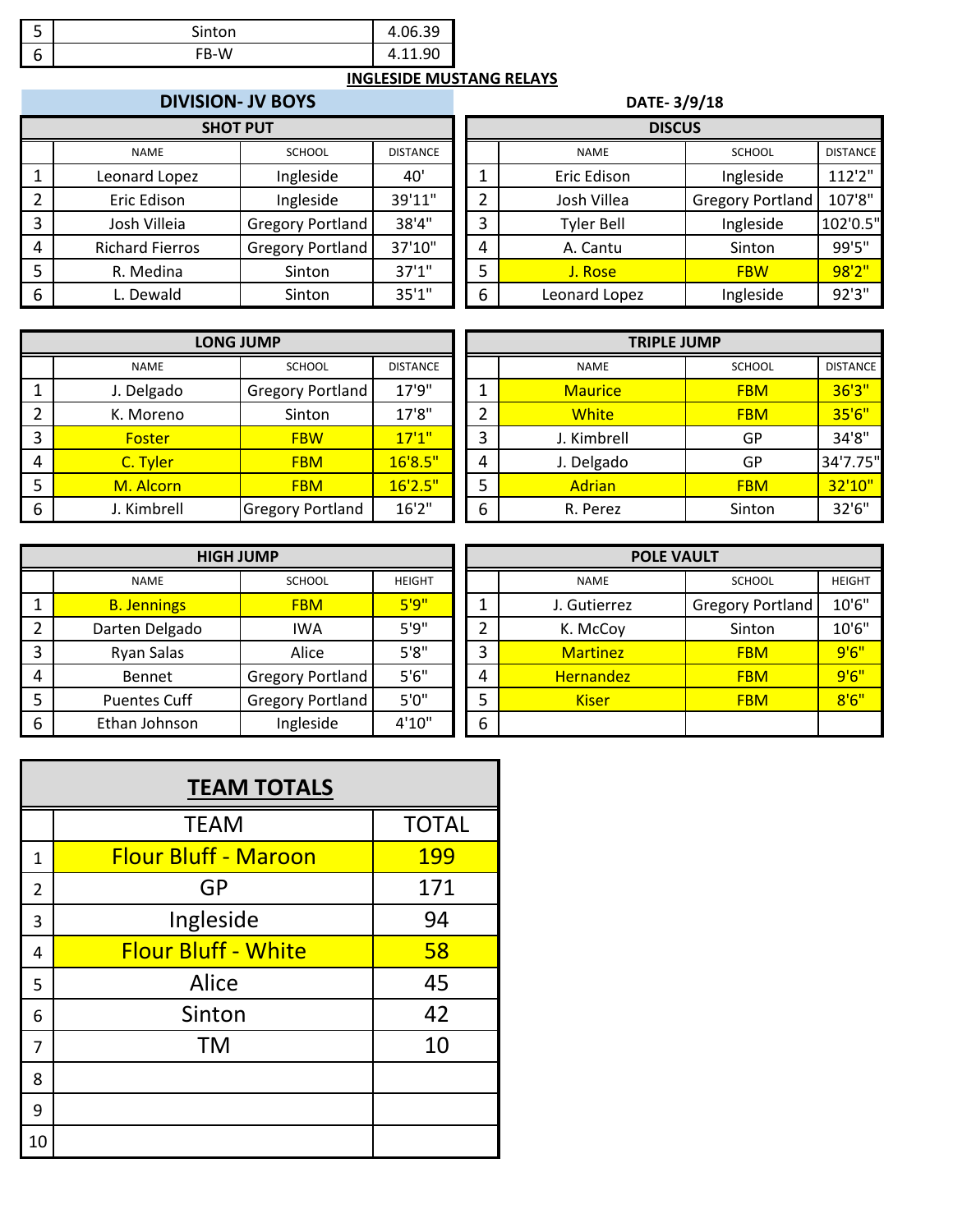| -<br>ت | Sinton | ι<br><b>OF 30</b> |
|--------|--------|-------------------|
| υ      | FB-W   | ۹ſ                |

|   | <b>DIVISION- JV BOYS</b> |                         |                 |   | <b>DATE-3/9/18</b> |                         |                 |  |  |  |
|---|--------------------------|-------------------------|-----------------|---|--------------------|-------------------------|-----------------|--|--|--|
|   | <b>SHOT PUT</b>          |                         |                 |   | <b>DISCUS</b>      |                         |                 |  |  |  |
|   | <b>NAME</b>              | <b>SCHOOL</b>           | <b>DISTANCE</b> |   | <b>NAME</b>        | <b>SCHOOL</b>           | <b>DISTANCE</b> |  |  |  |
|   | Leonard Lopez            | Ingleside               | 40'             |   | Eric Edison        | Ingleside               | 112'2"          |  |  |  |
|   | Eric Edison              | Ingleside               | 39'11"          | 2 | Josh Villea        | <b>Gregory Portland</b> | 107'8"          |  |  |  |
| 3 | Josh Villeia             | <b>Gregory Portland</b> | 38'4"           | 3 | <b>Tyler Bell</b>  | Ingleside               | 102'0.5"        |  |  |  |
| 4 | <b>Richard Fierros</b>   | <b>Gregory Portland</b> | 37'10"          | 4 | A. Cantu           | Sinton                  | 99'5"           |  |  |  |
| 5 | R. Medina                | Sinton                  | 37'1''          | 5 | J. Rose            | <b>FBW</b>              | 98'2"           |  |  |  |
| 6 | Dewald                   | Sinton                  | 35'1''          | 6 | Leonard Lopez      | Ingleside               | 92'3"           |  |  |  |

| <b>DIVISION- JV BOYS</b> |                  |                 | DATE-3/9/18   |                   |                         |                 |  |  |  |
|--------------------------|------------------|-----------------|---------------|-------------------|-------------------------|-----------------|--|--|--|
| <b>SHOT PUT</b>          |                  |                 | <b>DISCUS</b> |                   |                         |                 |  |  |  |
| NAME                     | <b>SCHOOL</b>    | <b>DISTANCE</b> |               | <b>NAME</b>       | <b>SCHOOL</b>           | <b>DISTANCE</b> |  |  |  |
| ard Lopez                | Ingleside        | 40'             |               | Eric Edison       | Ingleside               | 112'2"          |  |  |  |
| : Edison                 | Ingleside        | 39'11"          |               | Josh Villea       | <b>Gregory Portland</b> | 107'8"          |  |  |  |
| h Villeia                | Gregory Portland | 38'4"           | 3             | <b>Tyler Bell</b> | Ingleside               | 102'0.5"        |  |  |  |
| rd Fierros               | Gregory Portland | 37'10"          | 4             | A. Cantu          | Sinton                  | 99'5"           |  |  |  |
| Medina                   | Sinton           | 37'1''          |               | J. Rose           | <b>FBW</b>              | 98'2"           |  |  |  |
| Dewald                   | Sinton           | 35'1''          | 6             | Leonard Lopez     | Ingleside               | 92'3"           |  |  |  |

|   | <b>LONG JUMP</b> |                         |                 |        | <b>TRIPLE JUMP</b> |               |                 |  |  |
|---|------------------|-------------------------|-----------------|--------|--------------------|---------------|-----------------|--|--|
|   | <b>NAME</b>      | <b>SCHOOL</b>           | <b>DISTANCE</b> |        | <b>NAME</b>        | <b>SCHOOL</b> | <b>DISTANCE</b> |  |  |
|   | J. Delgado       | <b>Gregory Portland</b> | 17'9"           |        | <b>Maurice</b>     | <b>FBM</b>    | 36'3"           |  |  |
|   | K. Moreno        | Sinton                  | 17'8"           | ำ<br>ے | <b>White</b>       | <b>FBM</b>    | 35'6"           |  |  |
| 3 | <b>Foster</b>    | <b>FBW</b>              | 17'1''          | 3      | J. Kimbrell        | GP            | 34'8"           |  |  |
| 4 | C. Tyler         | <b>FBM</b>              | 16'8.5"         | 4      | J. Delgado         | <b>GP</b>     | 34'7.75"        |  |  |
|   | M. Alcorn        | <b>FBM</b>              | 16'2.5"         | 5      | <b>Adrian</b>      | <b>FBM</b>    | 32'10"          |  |  |
| 6 | J. Kimbrell      | <b>Gregory Portland</b> | 16'2''          | 6      | R. Perez           | Sinton        | 32'6"           |  |  |

| <b>LONG JUMP</b>        |                 |                  | <b>TRIPLE JUMP</b> |               |                 |  |  |  |
|-------------------------|-----------------|------------------|--------------------|---------------|-----------------|--|--|--|
| <b>SCHOOL</b>           | <b>DISTANCE</b> |                  | <b>NAME</b>        | <b>SCHOOL</b> | <b>DISTANCE</b> |  |  |  |
|                         | 17'9"           |                  | <b>Maurice</b>     | <b>FBM</b>    | 36'3''          |  |  |  |
| Sinton                  | 17'8"           |                  | <b>White</b>       | <b>FBM</b>    | 35'6"           |  |  |  |
| <b>FBW</b>              | 17'1''          | 3                | J. Kimbrell        | GP            | 34'8"           |  |  |  |
| <b>FBM</b>              | 16'8.5"         | 4                | J. Delgado         | GP            | 34'7.75"        |  |  |  |
| <b>FBM</b>              | 16'2.5"         |                  | Adrian             | <b>FBM</b>    | 32'10"          |  |  |  |
| <b>Gregory Portland</b> | 16'2''          | 6                | R. Perez           | Sinton        | 32'6"           |  |  |  |
|                         |                 | Gregory Portland |                    |               |                 |  |  |  |

|                | <b>HIGH JUMP</b>    |                         |               |  |   | <b>POLE VAULT</b> |                         |               |  |  |
|----------------|---------------------|-------------------------|---------------|--|---|-------------------|-------------------------|---------------|--|--|
|                | <b>NAME</b>         | <b>SCHOOL</b>           | <b>HEIGHT</b> |  |   | <b>NAME</b>       | <b>SCHOOL</b>           | <b>HEIGHT</b> |  |  |
|                | <b>B. Jennings</b>  | <b>FBM</b>              | 5'9''         |  |   | J. Gutierrez      | <b>Gregory Portland</b> | 10'6"         |  |  |
| $\overline{2}$ | Darten Delgado      | <b>IWA</b>              | 5'9''         |  |   | K. McCoy          | Sinton                  | 10'6"         |  |  |
| 3              | <b>Ryan Salas</b>   | Alice                   | 5'8''         |  | 3 | <b>Martinez</b>   | <b>FBM</b>              | 9'6''         |  |  |
| 4              | Bennet              | <b>Gregory Portland</b> | 5'6''         |  | 4 | <b>Hernandez</b>  | <b>FBM</b>              | 9'6''         |  |  |
| 5              | <b>Puentes Cuff</b> | Gregory Portland        | 5'0''         |  | 5 | <b>Kiser</b>      | <b>FBM</b>              | 8'6''         |  |  |
| 6              | Ethan Johnson       | Ingleside               | 4'10"         |  | 6 |                   |                         |               |  |  |

| <b>HIGH JUMP</b> |                         |               |  |   | <b>POLE VAULT</b> |                         |               |  |  |  |  |
|------------------|-------------------------|---------------|--|---|-------------------|-------------------------|---------------|--|--|--|--|
| NAME             | <b>SCHOOL</b>           | <b>HEIGHT</b> |  |   | <b>NAME</b>       | <b>SCHOOL</b>           | <b>HEIGHT</b> |  |  |  |  |
| ennings          | <b>FBM</b>              | 5'9''         |  |   | J. Gutierrez      | <b>Gregory Portland</b> | 10'6"         |  |  |  |  |
| n Delgado        | <b>IWA</b>              | 5'9''         |  | ำ | K. McCoy          | Sinton                  | 10'6"         |  |  |  |  |
| an Salas         | Alice                   | 5'8''         |  | 3 | <b>Martinez</b>   | <b>FBM</b>              | 9'6''         |  |  |  |  |
| ennet            | <b>Gregory Portland</b> | 5'6''         |  | 4 | <b>Hernandez</b>  | <b>FBM</b>              | 9'6''         |  |  |  |  |
| ntes Cuff        | <b>Gregory Portland</b> | 5'0''         |  | 5 | <b>Kiser</b>      | <b>FBM</b>              | 8'6''         |  |  |  |  |
| า Johnson        | Ingleside               | 4'10"         |  | 6 |                   |                         |               |  |  |  |  |
|                  |                         |               |  |   |                   |                         |               |  |  |  |  |

|    | <b>TEAM TOTALS</b>          |              |  |  |  |  |  |  |  |  |
|----|-----------------------------|--------------|--|--|--|--|--|--|--|--|
|    | <b>TEAM</b>                 | <b>TOTAL</b> |  |  |  |  |  |  |  |  |
| 1  | <b>Flour Bluff - Maroon</b> | 199          |  |  |  |  |  |  |  |  |
| 2  | <b>GP</b>                   | 171          |  |  |  |  |  |  |  |  |
| 3  | Ingleside                   | 94           |  |  |  |  |  |  |  |  |
| 4  | <b>Flour Bluff - White</b>  | 58           |  |  |  |  |  |  |  |  |
| 5  | Alice                       | 45           |  |  |  |  |  |  |  |  |
| 6  | Sinton                      | 42           |  |  |  |  |  |  |  |  |
| 7  | <b>TM</b>                   | 10           |  |  |  |  |  |  |  |  |
| 8  |                             |              |  |  |  |  |  |  |  |  |
| 9  |                             |              |  |  |  |  |  |  |  |  |
| 10 |                             |              |  |  |  |  |  |  |  |  |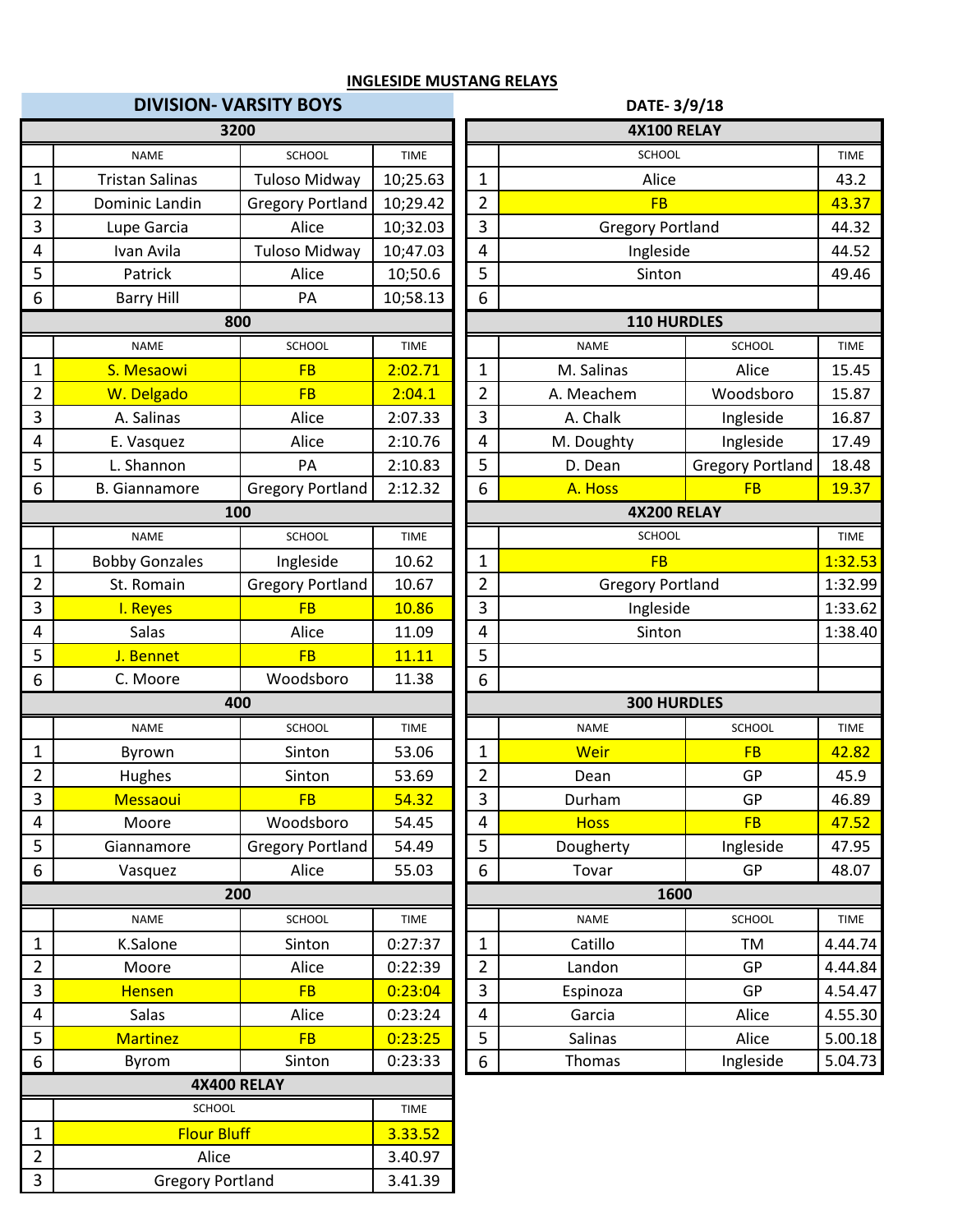# **DIVISION- VARSITY BOYS DATE- 3/9/18**

|                | 3200                    |                         |             |                         | 4X100 RELAY             |                         |             |  |  |
|----------------|-------------------------|-------------------------|-------------|-------------------------|-------------------------|-------------------------|-------------|--|--|
|                | <b>NAME</b>             | <b>SCHOOL</b>           | <b>TIME</b> |                         | SCHOOL                  |                         | <b>TIME</b> |  |  |
| $\mathbf 1$    | <b>Tristan Salinas</b>  | <b>Tuloso Midway</b>    | 10;25.63    | $\mathbf{1}$            | Alice                   |                         | 43.2        |  |  |
| $\overline{2}$ | Dominic Landin          | <b>Gregory Portland</b> | 10;29.42    | $\overline{2}$          | <b>FB</b>               |                         | 43.37       |  |  |
| 3              | Lupe Garcia             | Alice                   | 10;32.03    | 3                       | <b>Gregory Portland</b> |                         | 44.32       |  |  |
| 4              | Ivan Avila              | <b>Tuloso Midway</b>    | 10;47.03    | $\overline{\mathbf{4}}$ | Ingleside               |                         | 44.52       |  |  |
| 5              | Patrick                 | Alice                   | 10;50.6     | 5                       | Sinton                  |                         | 49.46       |  |  |
| 6              | <b>Barry Hill</b>       | PA                      | 10;58.13    | $\boldsymbol{6}$        |                         |                         |             |  |  |
|                | 800                     |                         |             |                         | <b>110 HURDLES</b>      |                         |             |  |  |
|                | <b>NAME</b>             | SCHOOL                  | <b>TIME</b> |                         | <b>NAME</b>             | <b>SCHOOL</b>           | <b>TIME</b> |  |  |
| $\mathbf 1$    | S. Mesaowi              | <b>FB</b>               | 2:02.71     | $\mathbf{1}$            | M. Salinas              | Alice                   | 15.45       |  |  |
| $\overline{2}$ | W. Delgado              | <b>FB</b>               | 2:04.1      | $\overline{2}$          | A. Meachem              | Woodsboro               | 15.87       |  |  |
| 3              | A. Salinas              | Alice                   | 2:07.33     | $\mathbf{3}$            | A. Chalk                | Ingleside               | 16.87       |  |  |
| 4              | E. Vasquez              | Alice                   | 2:10.76     | $\overline{\mathbf{4}}$ | M. Doughty              | Ingleside               | 17.49       |  |  |
| 5              | L. Shannon              | PA                      | 2:10.83     | 5                       | D. Dean                 | <b>Gregory Portland</b> | 18.48       |  |  |
| 6              | <b>B.</b> Giannamore    | <b>Gregory Portland</b> | 2:12.32     | 6                       | A. Hoss                 | <b>FB</b>               | 19.37       |  |  |
|                |                         | 100                     |             |                         | <b>4X200 RELAY</b>      |                         |             |  |  |
|                | <b>NAME</b>             | <b>SCHOOL</b>           | <b>TIME</b> |                         | SCHOOL                  |                         | <b>TIME</b> |  |  |
| 1              | <b>Bobby Gonzales</b>   | Ingleside               | 10.62       | $\mathbf 1$             | <b>FB</b>               |                         | 1:32.53     |  |  |
| $\overline{2}$ | St. Romain              | <b>Gregory Portland</b> | 10.67       | $\overline{2}$          |                         | <b>Gregory Portland</b> |             |  |  |
| 3              | I. Reyes                | <b>FB</b>               | 10.86       | 3                       | Ingleside               |                         | 1:33.62     |  |  |
| 4              | Salas                   | Alice                   | 11.09       | $\overline{\mathbf{4}}$ | Sinton                  |                         | 1:38.40     |  |  |
| 5              | J. Bennet               | <b>FB</b>               | 11.11       | 5                       |                         |                         |             |  |  |
| 6              | C. Moore                | Woodsboro               | 11.38       | 6                       |                         |                         |             |  |  |
|                | 400                     |                         |             |                         | <b>300 HURDLES</b>      |                         |             |  |  |
|                | <b>NAME</b>             | <b>SCHOOL</b>           | <b>TIME</b> |                         | <b>NAME</b>             | <b>SCHOOL</b>           | <b>TIME</b> |  |  |
| 1              | Byrown                  | Sinton                  | 53.06       | $\mathbf{1}$            | <b>Weir</b>             | <b>FB</b>               | 42.82       |  |  |
| $\overline{2}$ | Hughes                  | Sinton                  | 53.69       | 2                       | Dean                    | GP                      | 45.9        |  |  |
| 3              | Messaoui                | <b>FB</b>               | 54.32       | $\mathbf{3}$            | Durham                  | GP                      | 46.89       |  |  |
| 4              | Moore                   | Woodsboro               | 54.45       | 4                       | <b>Hoss</b>             | <b>FB</b>               | 47.52       |  |  |
| 5              | Giannamore              | <b>Gregory Portland</b> | 54.49       | 5                       | Dougherty               | Ingleside               | 47.95       |  |  |
| 6              | Vasquez                 | Alice                   | 55.03       | 6                       | Tovar                   | GP                      | 48.07       |  |  |
|                |                         | 200                     |             |                         | 1600                    |                         |             |  |  |
|                | <b>NAME</b>             | SCHOOL                  | <b>TIME</b> |                         | <b>NAME</b>             | SCHOOL                  | <b>TIME</b> |  |  |
| 1              | K.Salone                | Sinton                  | 0:27:37     | $\mathbf{1}$            | Catillo                 | TM                      | 4.44.74     |  |  |
| $\overline{2}$ | Moore                   | Alice                   | 0:22:39     | $\overline{2}$          | Landon                  | GP                      | 4.44.84     |  |  |
| 3              | <b>Hensen</b>           | <b>FB</b>               | 0:23:04     | $\mathbf{3}$            | Espinoza                | GP                      | 4.54.47     |  |  |
| 4              | Salas                   | Alice                   | 0:23:24     | $\overline{\mathbf{4}}$ | Garcia                  | Alice                   | 4.55.30     |  |  |
| 5              | <b>Martinez</b>         | <b>FB</b>               | 0:23:25     | 5                       | Salinas                 | Alice                   | 5.00.18     |  |  |
| 6              | Byrom                   | Sinton                  | 0:23:33     | $\boldsymbol{6}$        | Thomas                  | Ingleside               | 5.04.73     |  |  |
|                | <b>4X400 RELAY</b>      |                         |             |                         |                         |                         |             |  |  |
|                | SCHOOL                  |                         | <b>TIME</b> |                         |                         |                         |             |  |  |
| 1              | <b>Flour Bluff</b>      |                         | 3.33.52     |                         |                         |                         |             |  |  |
| $\overline{2}$ | Alice                   |                         | 3.40.97     |                         |                         |                         |             |  |  |
| $\mathbf{3}$   | <b>Gregory Portland</b> |                         | 3.41.39     |                         |                         |                         |             |  |  |

| 3200                 |                         |             |                | <b>4X100 RELAY</b>      |                         |             |  |  |  |
|----------------------|-------------------------|-------------|----------------|-------------------------|-------------------------|-------------|--|--|--|
| <b>NAME</b>          | SCHOOL                  | <b>TIME</b> |                | <b>SCHOOL</b>           |                         | <b>TIME</b> |  |  |  |
| an Salinas           | <b>Tuloso Midway</b>    | 10;25.63    | $\mathbf{1}$   | Alice                   |                         | 43.2        |  |  |  |
| nic Landin           | <b>Gregory Portland</b> | 10;29.42    | $\overline{2}$ | <b>FB</b>               |                         | 43.37       |  |  |  |
| e Garcia             | Alice                   | 10;32.03    | 3              |                         | <b>Gregory Portland</b> |             |  |  |  |
| ın Avila             | <b>Tuloso Midway</b>    | 10;47.03    | 4              | Ingleside               |                         | 44.52       |  |  |  |
| atrick               | Alice                   | 10;50.6     | 5              | Sinton                  |                         | 49.46       |  |  |  |
| rry Hill             | PA                      | 10;58.13    | 6              |                         |                         |             |  |  |  |
| 800                  |                         |             |                | 110 HURDLES             |                         |             |  |  |  |
| NAME                 | SCHOOL                  | <b>TIME</b> |                | <b>NAME</b>             | <b>SCHOOL</b>           | <b>TIME</b> |  |  |  |
| <mark>lesaowi</mark> | <b>FB</b>               | 2:02.71     | $\mathbf{1}$   | M. Salinas              | Alice                   | 15.45       |  |  |  |
| Delgado              | <b>FB</b>               | 2:04.1      | $\overline{2}$ | A. Meachem              | Woodsboro               | 15.87       |  |  |  |
| Salinas              | Alice                   | 2:07.33     | 3              | A. Chalk                | Ingleside               | 16.87       |  |  |  |
| asquez               | Alice                   | 2:10.76     | 4              | M. Doughty              | Ingleside               | 17.49       |  |  |  |
| hannon               | PA                      | 2:10.83     | 5              | D. Dean                 | <b>Gregory Portland</b> | 18.48       |  |  |  |
| annamore             | <b>Gregory Portland</b> | 2:12.32     | 6              | A. Hoss                 | <b>FB</b>               | 19.37       |  |  |  |
| 100                  |                         |             |                | <b>4X200 RELAY</b>      |                         |             |  |  |  |
| NAME                 | <b>SCHOOL</b>           | <b>TIME</b> |                | SCHOOL                  | <b>TIME</b>             |             |  |  |  |
| Gonzales             | Ingleside               | 10.62       | $\mathbf{1}$   | <b>FB</b>               | 1:32.53                 |             |  |  |  |
| Romain               | <b>Gregory Portland</b> | 10.67       | $\overline{2}$ | <b>Gregory Portland</b> | 1:32.99                 |             |  |  |  |
| Reyes                | <b>FB</b>               | 10.86       | 3              | Ingleside               | 1:33.62                 |             |  |  |  |
| Salas                | Alice                   | 11.09       | 4              | Sinton                  |                         | 1:38.40     |  |  |  |
| <b>Bennet</b>        | <b>FB</b>               | 11.11       | 5              |                         |                         |             |  |  |  |
| Moore                | Woodsboro               | 11.38       | 6              |                         |                         |             |  |  |  |
| 400                  |                         |             |                | <b>300 HURDLES</b>      |                         |             |  |  |  |
| NAME                 | SCHOOL                  | <b>TIME</b> |                | <b>NAME</b>             | <b>SCHOOL</b>           | <b>TIME</b> |  |  |  |
| yrown                | Sinton                  | 53.06       | $\mathbf{1}$   | Weir                    | <b>FB</b>               | 42.82       |  |  |  |
| ughes                | Sinton                  | 53.69       | $\overline{2}$ | Dean                    | GP                      | 45.9        |  |  |  |
| <mark>essaoui</mark> | <b>FB</b>               | 54.32       | 3              | Durham                  | GP                      | 46.89       |  |  |  |
| <b>Aoore</b>         | Woodsboro               | 54.45       | 4              | <b>Hoss</b>             | <b>FB</b>               | 47.52       |  |  |  |
| nnamore              | <b>Gregory Portland</b> | 54.49       | 5              | Dougherty               | Ingleside               | 47.95       |  |  |  |
| asquez               | Alice                   | 55.03       | 6              | Tovar                   | GP                      | 48.07       |  |  |  |
| 200                  |                         |             |                | 1600                    |                         |             |  |  |  |
| NAME                 | SCHOOL                  | <b>TIME</b> |                | <b>NAME</b>             | SCHOOL                  | <b>TIME</b> |  |  |  |
| Salone               | Sinton                  | 0:27:37     | 1              | Catillo                 | TM                      | 4.44.74     |  |  |  |
| 1oore                | Alice                   | 0:22:39     | $\overline{2}$ | Landon                  | GP                      | 4.44.84     |  |  |  |
| ensen                | <b>FB</b>               | 0:23:04     | 3              | Espinoza                | GP                      | 4.54.47     |  |  |  |
| Salas                | Alice                   | 0:23:24     | 4              | Garcia                  | Alice                   | 4.55.30     |  |  |  |
| artinez              | <b>FB</b>               | 0:23:25     | 5              | Salinas                 | Alice                   | 5.00.18     |  |  |  |
| lyrom                | Sinton                  | 0:23:33     | 6              | Thomas                  | Ingleside               | 5.04.73     |  |  |  |
|                      | <b>AVAOO DELAV</b>      |             |                |                         |                         |             |  |  |  |